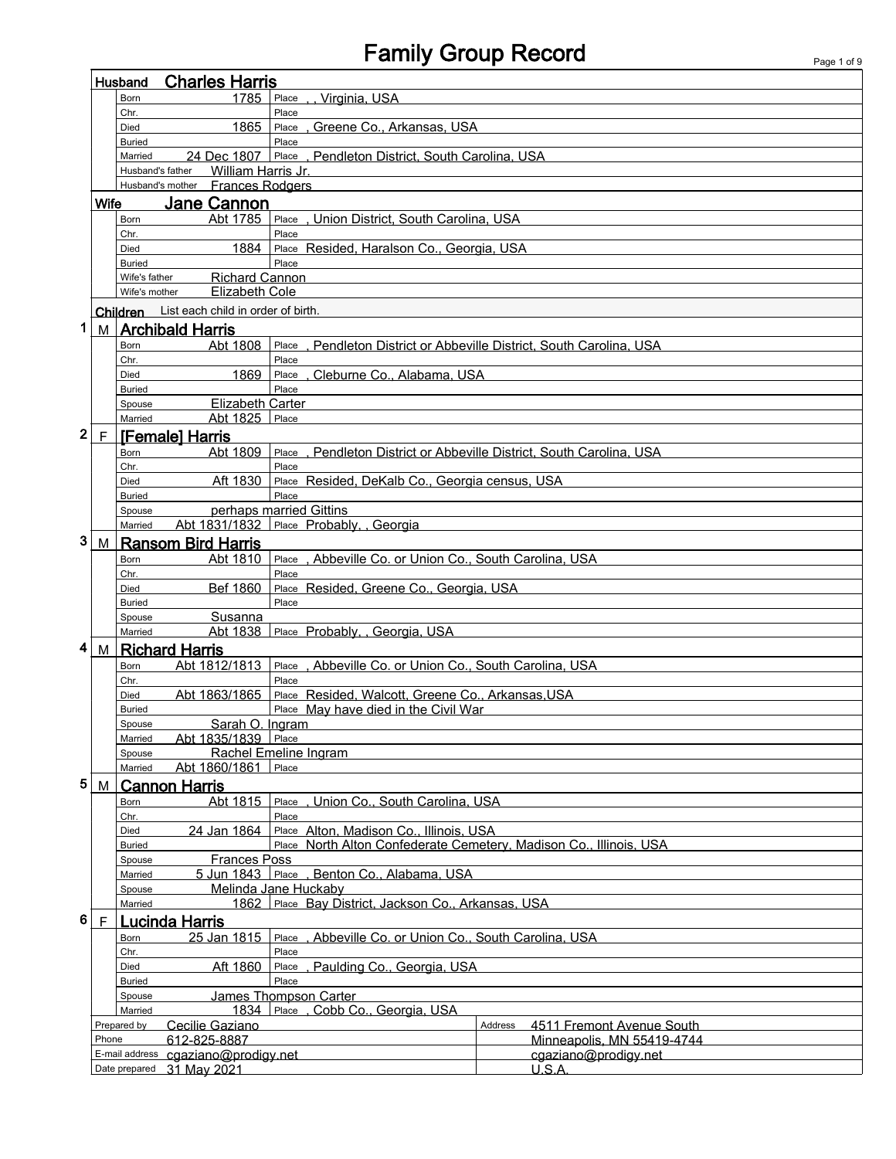## Family Group Record Page 1 of 9

f

|                                                                   |                                                                                               | Husband               | <b>Charles Harris</b>                       |                                                                      |                                                                 |
|-------------------------------------------------------------------|-----------------------------------------------------------------------------------------------|-----------------------|---------------------------------------------|----------------------------------------------------------------------|-----------------------------------------------------------------|
|                                                                   |                                                                                               | Born                  | 1785                                        | Place<br>Virginia, USA                                               |                                                                 |
|                                                                   |                                                                                               | Chr.                  |                                             | Place                                                                |                                                                 |
|                                                                   |                                                                                               | Died<br><b>Buried</b> | 1865                                        | , Greene Co., Arkansas, USA<br>Place<br>Place                        |                                                                 |
|                                                                   |                                                                                               | Married               | 24 Dec 1807   Place                         | . Pendleton District. South Carolina, USA                            |                                                                 |
|                                                                   |                                                                                               | Husband's father      | William Harris Jr.                          |                                                                      |                                                                 |
|                                                                   |                                                                                               |                       | Husband's mother Frances Rodgers            |                                                                      |                                                                 |
|                                                                   | <b>Wife</b>                                                                                   |                       | <b>Jane Cannon</b>                          |                                                                      |                                                                 |
|                                                                   |                                                                                               | Born                  | Abt 1785                                    | Place, Union District, South Carolina, USA                           |                                                                 |
|                                                                   |                                                                                               | Chr.                  |                                             | Place                                                                |                                                                 |
|                                                                   |                                                                                               | Died<br><b>Buried</b> | 1884                                        | Place Resided, Haralson Co., Georgia, USA<br>Place                   |                                                                 |
|                                                                   |                                                                                               | Wife's father         | <b>Richard Cannon</b>                       |                                                                      |                                                                 |
|                                                                   |                                                                                               | Wife's mother         | Elizabeth Cole                              |                                                                      |                                                                 |
|                                                                   |                                                                                               |                       | Children List each child in order of birth. |                                                                      |                                                                 |
| 1                                                                 | M                                                                                             |                       | <b>Archibald Harris</b>                     |                                                                      |                                                                 |
|                                                                   |                                                                                               | Born                  | Abt 1808                                    | Place, Pendleton District or Abbeville District. South Carolina. USA |                                                                 |
|                                                                   |                                                                                               | Chr.                  |                                             | Place                                                                |                                                                 |
|                                                                   |                                                                                               | Died                  | 1869                                        | , Cleburne Co., Alabama, USA<br>Place                                |                                                                 |
|                                                                   |                                                                                               | <b>Buried</b>         |                                             | Place                                                                |                                                                 |
|                                                                   |                                                                                               | Spouse<br>Married     | Elizabeth Carter<br>Abt 1825                | Place                                                                |                                                                 |
| 2                                                                 | F                                                                                             |                       | <b>[Female] Harris</b>                      |                                                                      |                                                                 |
|                                                                   |                                                                                               | Born                  | Abt 1809                                    | Place                                                                | , Pendleton District or Abbeville District, South Carolina, USA |
|                                                                   |                                                                                               | Chr.                  |                                             | Place                                                                |                                                                 |
|                                                                   |                                                                                               | Died                  | Aft 1830                                    | Place Resided, DeKalb Co., Georgia census, USA                       |                                                                 |
|                                                                   |                                                                                               | <b>Buried</b>         |                                             | Place                                                                |                                                                 |
|                                                                   |                                                                                               | Spouse                |                                             | perhaps married Gittins                                              |                                                                 |
|                                                                   |                                                                                               | Married               |                                             | Abt 1831/1832 Place Probably, Georgia                                |                                                                 |
| 3                                                                 | M                                                                                             |                       | <b>Ransom Bird Harris</b>                   |                                                                      |                                                                 |
|                                                                   |                                                                                               | Born<br>Chr.          | Abt 1810                                    | , Abbeville Co. or Union Co., South Carolina, USA<br>Place<br>Place  |                                                                 |
|                                                                   |                                                                                               | Died                  | <b>Bef 1860</b>                             | Place Resided, Greene Co., Georgia, USA                              |                                                                 |
|                                                                   |                                                                                               | <b>Buried</b>         |                                             | Place                                                                |                                                                 |
|                                                                   |                                                                                               | Spouse                | Susanna                                     |                                                                      |                                                                 |
|                                                                   |                                                                                               | Married               | Abt 1838                                    | Place Probably. Georgia. USA                                         |                                                                 |
| 4                                                                 | M                                                                                             |                       | <b>Richard Harris</b>                       |                                                                      |                                                                 |
|                                                                   |                                                                                               | Born                  | Abt 1812/1813                               | Place, Abbeville Co. or Union Co., South Carolina, USA               |                                                                 |
|                                                                   |                                                                                               | Chr.<br>Died          | Abt 1863/1865                               | Place<br>Place Resided, Walcott, Greene Co., Arkansas, USA           |                                                                 |
|                                                                   |                                                                                               | <b>Buried</b>         |                                             | Place May have died in the Civil War                                 |                                                                 |
|                                                                   |                                                                                               | Spouse                | Sarah O. Ingram                             |                                                                      |                                                                 |
|                                                                   |                                                                                               | Married               | Abt 1835/1839 Place                         |                                                                      |                                                                 |
|                                                                   |                                                                                               | Spouse<br>Married     | Abt 1860/1861                               | Rachel Emeline Ingram<br>Place                                       |                                                                 |
| 5                                                                 |                                                                                               |                       |                                             |                                                                      |                                                                 |
|                                                                   | M                                                                                             | Born                  | <b>Cannon Harris</b><br>Abt 1815            | , Union Co., South Carolina, USA<br>Place                            |                                                                 |
|                                                                   |                                                                                               | Chr.                  |                                             | Place                                                                |                                                                 |
|                                                                   |                                                                                               | Died                  | 24 Jan 1864                                 | Place Alton, Madison Co., Illinois, USA                              |                                                                 |
|                                                                   |                                                                                               | <b>Buried</b>         |                                             | Place North Alton Confederate Cemetery, Madison Co., Illinois, USA   |                                                                 |
|                                                                   |                                                                                               | Spouse                | <b>Frances Poss</b>                         |                                                                      |                                                                 |
|                                                                   | Benton Co., Alabama, USA<br>5 Jun 1843   Place .<br>Married<br>Melinda Jane Huckaby<br>Spouse |                       |                                             |                                                                      |                                                                 |
| Place Bay District, Jackson Co., Arkansas, USA<br>1862<br>Married |                                                                                               |                       |                                             |                                                                      |                                                                 |
| 6                                                                 | F                                                                                             |                       | Lucinda Harris                              |                                                                      |                                                                 |
|                                                                   |                                                                                               | <b>Born</b>           | 25 Jan 1815                                 | Place<br>Abbeville Co. or Union Co., South Carolina, USA             |                                                                 |
|                                                                   |                                                                                               | Chr.                  |                                             | Place                                                                |                                                                 |
|                                                                   |                                                                                               | Died                  | Aft 1860                                    | Paulding Co., Georgia, USA<br>Place                                  |                                                                 |
|                                                                   |                                                                                               | <b>Buried</b>         |                                             | Place                                                                |                                                                 |
|                                                                   |                                                                                               | Spouse<br>Married     |                                             | James Thompson Carter<br>1834 Place, Cobb Co., Georgia, USA          |                                                                 |
|                                                                   |                                                                                               | Prepared by           | Cecilie Gaziano                             |                                                                      | Address<br>4511 Fremont Avenue South                            |
|                                                                   | Phone                                                                                         |                       | 612-825-8887                                |                                                                      | Minneapolis, MN 55419-4744                                      |
|                                                                   |                                                                                               |                       | E-mail address cgaziano@prodigy.net         |                                                                      | cgaziano@prodigy.net                                            |
|                                                                   |                                                                                               |                       | Date prepared 31 May 2021                   |                                                                      | U.S.A.                                                          |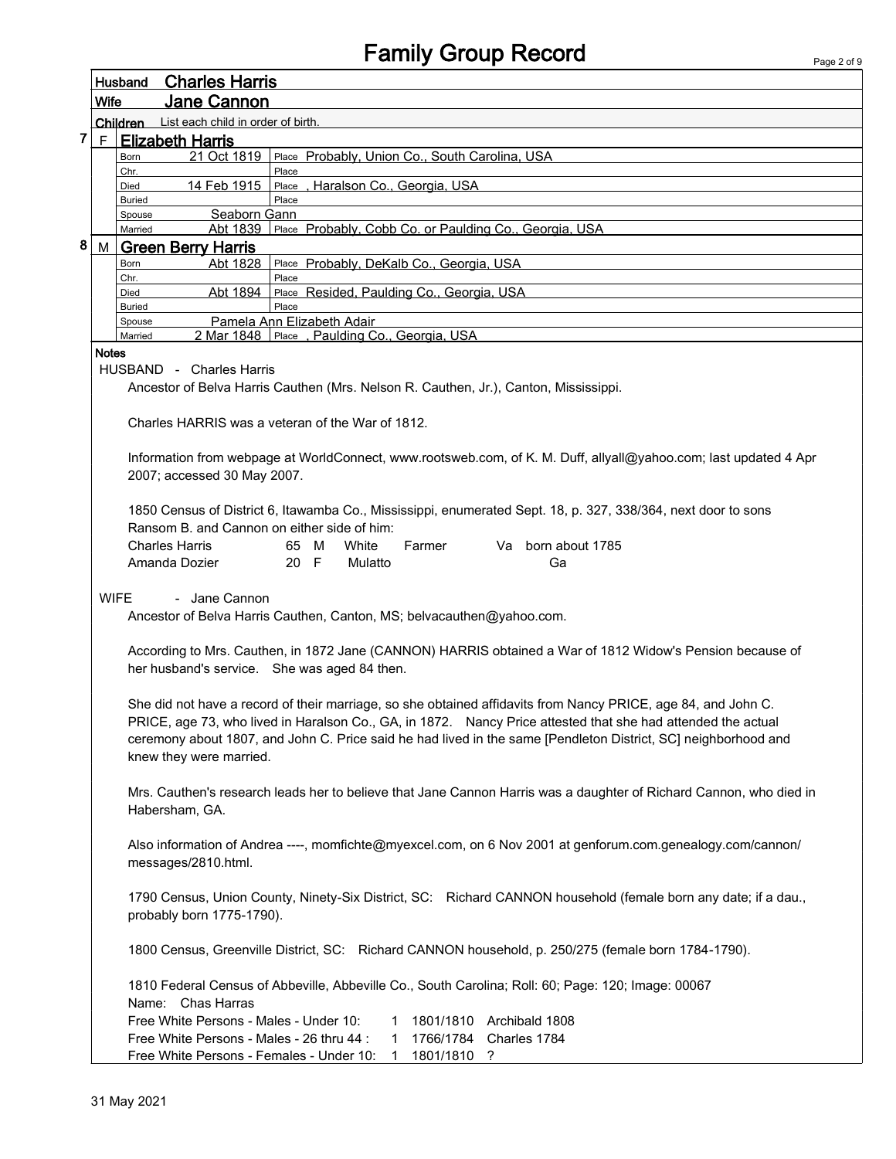|   |              | <b>Charles Harris</b><br>Husband                                                                                   |
|---|--------------|--------------------------------------------------------------------------------------------------------------------|
|   | <b>Wife</b>  | <b>Jane Cannon</b>                                                                                                 |
|   |              | List each child in order of birth.<br>Children                                                                     |
| 7 | F.           | <b>Elizabeth Harris</b>                                                                                            |
|   |              | 21 Oct 1819<br>Place Probably, Union Co., South Carolina, USA<br>Born                                              |
|   |              | Place<br>Chr.                                                                                                      |
|   |              | 14 Feb 1915<br>Place, Haralson Co., Georgia, USA<br>Died<br>Place<br>Buried                                        |
|   |              | Seaborn Gann<br>Spouse                                                                                             |
|   |              | Abt 1839 Place Probably, Cobb Co. or Paulding Co., Georgia, USA<br>Married                                         |
| 8 |              | M Green Berry Harris                                                                                               |
|   |              | Abt 1828<br>Place Probably, DeKalb Co., Georgia, USA<br>Born                                                       |
|   |              | Place<br>Chr.<br>Place Resided, Paulding Co., Georgia, USA<br>Abt 1894<br>Died                                     |
|   |              | Place<br><b>Buried</b>                                                                                             |
|   |              | Pamela Ann Elizabeth Adair<br>Spouse                                                                               |
|   |              | 2 Mar 1848 Place, Paulding Co., Georgia, USA<br>Married                                                            |
|   | <b>Notes</b> |                                                                                                                    |
|   |              | HUSBAND - Charles Harris                                                                                           |
|   |              | Ancestor of Belva Harris Cauthen (Mrs. Nelson R. Cauthen, Jr.), Canton, Mississippi.                               |
|   |              |                                                                                                                    |
|   |              | Charles HARRIS was a veteran of the War of 1812.                                                                   |
|   |              | Information from webpage at WorldConnect, www.rootsweb.com, of K. M. Duff, allyall@yahoo.com; last updated 4 Apr   |
|   |              | 2007; accessed 30 May 2007.                                                                                        |
|   |              |                                                                                                                    |
|   |              | 1850 Census of District 6, Itawamba Co., Mississippi, enumerated Sept. 18, p. 327, 338/364, next door to sons      |
|   |              | Ransom B, and Cannon on either side of him:                                                                        |
|   |              | Va born about 1785<br><b>Charles Harris</b><br>65 M<br>White<br>Farmer                                             |
|   |              | Amanda Dozier<br>20 F<br>Mulatto<br>Ga                                                                             |
|   |              |                                                                                                                    |
|   | <b>WIFE</b>  | - Jane Cannon                                                                                                      |
|   |              | Ancestor of Belva Harris Cauthen, Canton, MS; belvacauthen@yahoo.com.                                              |
|   |              |                                                                                                                    |
|   |              | According to Mrs. Cauthen, in 1872 Jane (CANNON) HARRIS obtained a War of 1812 Widow's Pension because of          |
|   |              | her husband's service. She was aged 84 then.                                                                       |
|   |              |                                                                                                                    |
|   |              | She did not have a record of their marriage, so she obtained affidavits from Nancy PRICE, age 84, and John C.      |
|   |              | PRICE, age 73, who lived in Haralson Co., GA, in 1872. Nancy Price attested that she had attended the actual       |
|   |              | ceremony about 1807, and John C. Price said he had lived in the same [Pendleton District, SC] neighborhood and     |
|   |              | knew they were married.                                                                                            |
|   |              |                                                                                                                    |
|   |              | Mrs. Cauthen's research leads her to believe that Jane Cannon Harris was a daughter of Richard Cannon, who died in |
|   |              | Habersham, GA.                                                                                                     |
|   |              |                                                                                                                    |
|   |              | Also information of Andrea ----, momfichte@myexcel.com, on 6 Nov 2001 at genforum.com.genealogy.com/cannon/        |
|   |              | messages/2810.html.                                                                                                |
|   |              |                                                                                                                    |
|   |              | 1790 Census, Union County, Ninety-Six District, SC: Richard CANNON household (female born any date; if a dau.,     |
|   |              | probably born 1775-1790).                                                                                          |
|   |              |                                                                                                                    |
|   |              | 1800 Census, Greenville District, SC: Richard CANNON household, p. 250/275 (female born 1784-1790).                |
|   |              |                                                                                                                    |
|   |              | 1810 Federal Census of Abbeville, Abbeville Co., South Carolina; Roll: 60; Page: 120; Image: 00067                 |
|   |              | Name: Chas Harras                                                                                                  |
|   |              | Free White Persons - Males - Under 10:<br>1801/1810 Archibald 1808<br>1                                            |
|   |              | Free White Persons - Males - 26 thru 44 :<br>1766/1784 Charles 1784<br>1                                           |
|   |              | Free White Persons - Females - Under 10: 1 1801/1810 ?                                                             |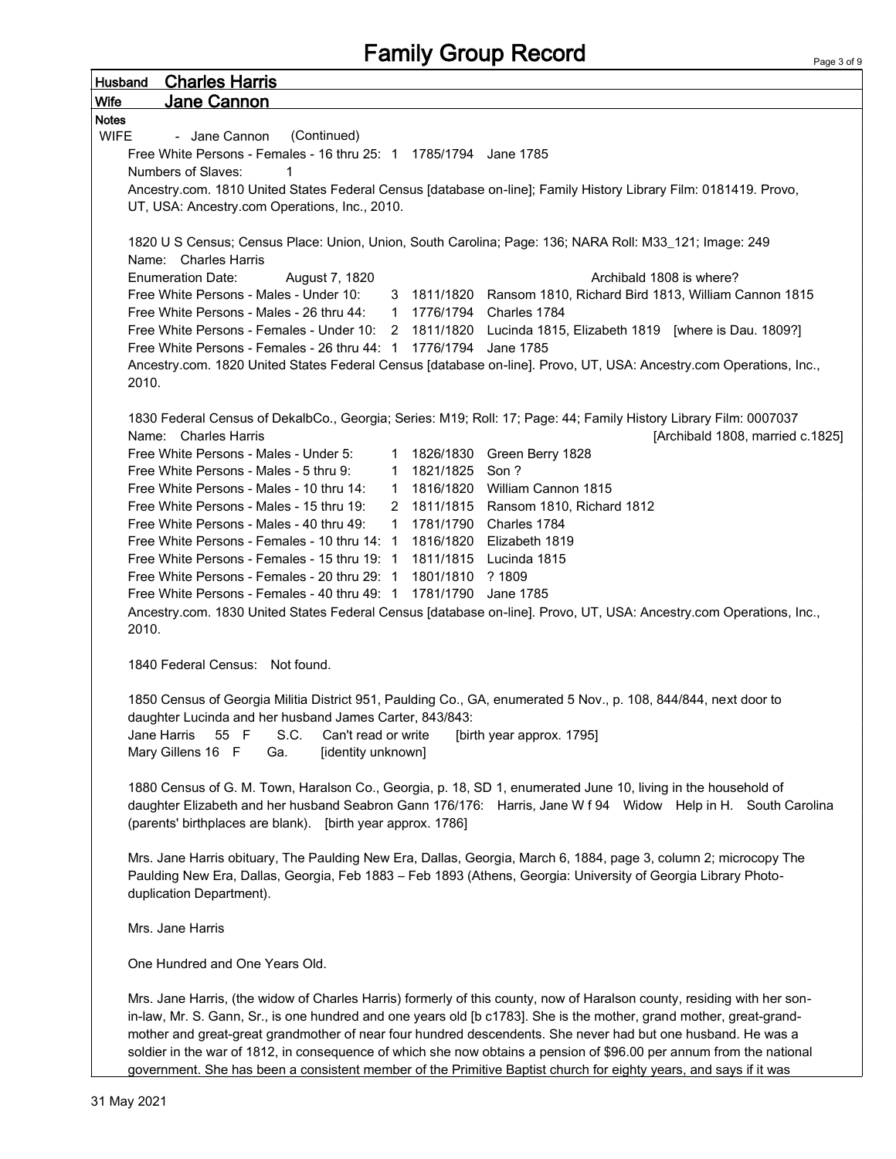| <b>Charles Harris</b><br><b>Husband</b>                                                                                 |
|-------------------------------------------------------------------------------------------------------------------------|
| <b>Jane Cannon</b><br>Wife                                                                                              |
| <b>Notes</b>                                                                                                            |
| (Continued)<br><b>WIFE</b><br>- Jane Cannon                                                                             |
| Free White Persons - Females - 16 thru 25: 1 1785/1794 Jane 1785                                                        |
| Numbers of Slaves:                                                                                                      |
| Ancestry.com. 1810 United States Federal Census [database on-line]; Family History Library Film: 0181419. Provo,        |
| UT, USA: Ancestry.com Operations, Inc., 2010.                                                                           |
|                                                                                                                         |
| 1820 U S Census; Census Place: Union, Union, South Carolina; Page: 136; NARA Roll: M33_121; Image: 249                  |
| Name: Charles Harris                                                                                                    |
| <b>Enumeration Date:</b><br>Archibald 1808 is where?<br>August 7, 1820                                                  |
| Free White Persons - Males - Under 10:<br>3 1811/1820 Ransom 1810, Richard Bird 1813, William Cannon 1815               |
| Free White Persons - Males - 26 thru 44: 1 1776/1794 Charles 1784                                                       |
| Free White Persons - Females - Under 10: 2 1811/1820 Lucinda 1815, Elizabeth 1819 [where is Dau. 1809?]                 |
| Free White Persons - Females - 26 thru 44: 1 1776/1794 Jane 1785                                                        |
| Ancestry.com. 1820 United States Federal Census [database on-line]. Provo, UT, USA: Ancestry.com Operations, Inc.,      |
| 2010.                                                                                                                   |
|                                                                                                                         |
| 1830 Federal Census of DekalbCo., Georgia; Series: M19; Roll: 17; Page: 44; Family History Library Film: 0007037        |
| Name: Charles Harris<br>[Archibald 1808, married c.1825]                                                                |
| Free White Persons - Males - Under 5:<br>1 1826/1830 Green Berry 1828                                                   |
| 1 1821/1825 Son?<br>Free White Persons - Males - 5 thru 9:                                                              |
| 1 1816/1820 William Cannon 1815<br>Free White Persons - Males - 10 thru 14:                                             |
| 2 1811/1815 Ransom 1810, Richard 1812<br>Free White Persons - Males - 15 thru 19:                                       |
| 1 1781/1790 Charles 1784<br>Free White Persons - Males - 40 thru 49:                                                    |
| Free White Persons - Females - 10 thru 14: 1 1816/1820 Elizabeth 1819                                                   |
| Free White Persons - Females - 15 thru 19: 1 1811/1815 Lucinda 1815                                                     |
| Free White Persons - Females - 20 thru 29: 1 1801/1810 ? 1809                                                           |
| Free White Persons - Females - 40 thru 49: 1 1781/1790 Jane 1785                                                        |
| Ancestry.com. 1830 United States Federal Census [database on-line]. Provo, UT, USA: Ancestry.com Operations, Inc.,      |
| 2010.                                                                                                                   |
|                                                                                                                         |
| 1840 Federal Census: Not found.                                                                                         |
|                                                                                                                         |
| 1850 Census of Georgia Militia District 951, Paulding Co., GA, enumerated 5 Nov., p. 108, 844/844, next door to         |
| daughter Lucinda and her husband James Carter, 843/843:                                                                 |
| Jane Harris<br>55 F<br>S.C.<br>Can't read or write<br>[birth year approx. 1795]                                         |
| Mary Gillens 16 F<br>[identity unknown]<br>Ga.                                                                          |
|                                                                                                                         |
| 1880 Census of G. M. Town, Haralson Co., Georgia, p. 18, SD 1, enumerated June 10, living in the household of           |
| daughter Elizabeth and her husband Seabron Gann 176/176: Harris, Jane W f 94 Widow Help in H. South Carolina            |
| (parents' birthplaces are blank). [birth year approx. 1786]                                                             |
|                                                                                                                         |
| Mrs. Jane Harris obituary, The Paulding New Era, Dallas, Georgia, March 6, 1884, page 3, column 2; microcopy The        |
| Paulding New Era, Dallas, Georgia, Feb 1883 - Feb 1893 (Athens, Georgia: University of Georgia Library Photo-           |
| duplication Department).                                                                                                |
|                                                                                                                         |
| Mrs. Jane Harris                                                                                                        |
|                                                                                                                         |
| One Hundred and One Years Old.                                                                                          |
|                                                                                                                         |
| Mrs. Jane Harris, (the widow of Charles Harris) formerly of this county, now of Haralson county, residing with her son- |
| in-law, Mr. S. Gann, Sr., is one hundred and one years old [b c1783]. She is the mother, grand mother, great-grand-     |
| mother and great-great grandmother of near four hundred descendents. She never had but one husband. He was a            |
| soldier in the war of 1812, in consequence of which she now obtains a pension of \$96.00 per annum from the national    |
| government. She has been a consistent member of the Primitive Baptist church for eighty years, and says if it was       |

ľ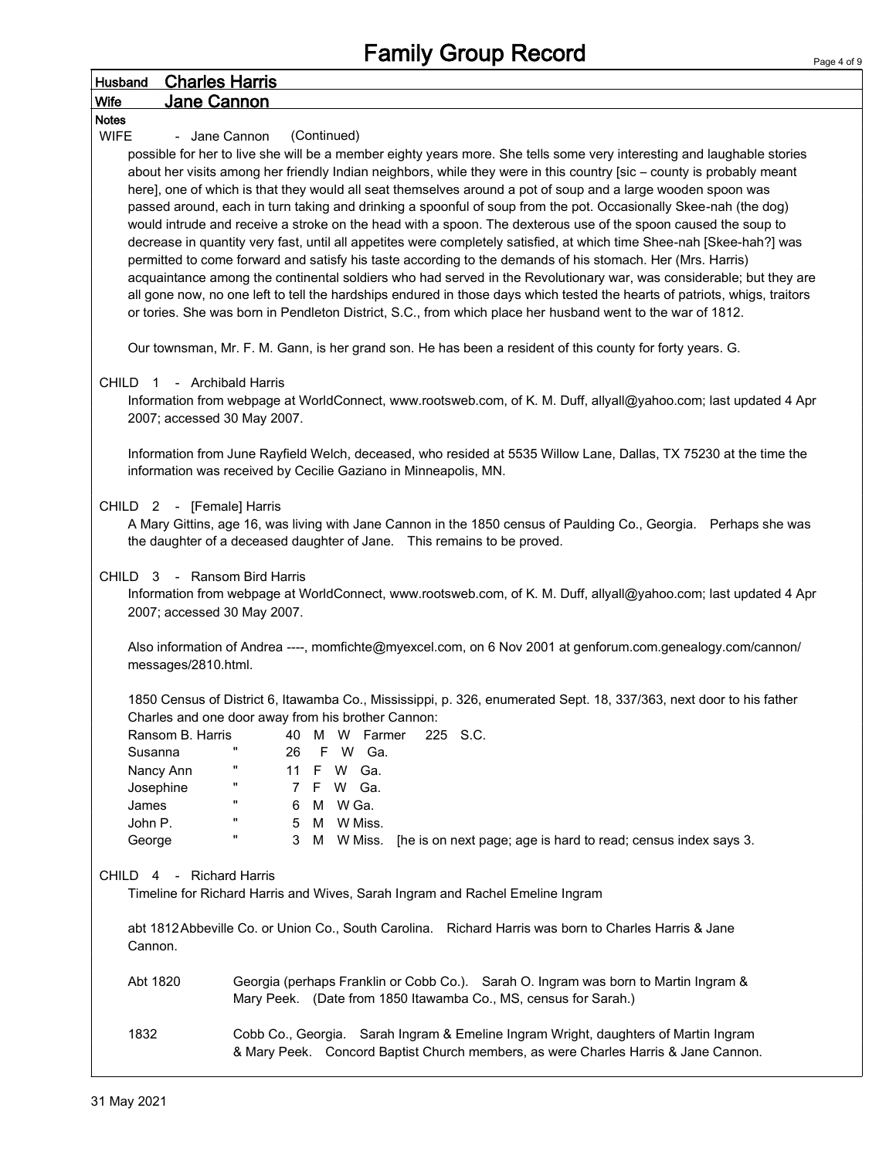| <b>Husband</b> |           | <b>Charles Harris</b>     |                                                                                                                            |
|----------------|-----------|---------------------------|----------------------------------------------------------------------------------------------------------------------------|
| Wife           |           | Jane Cannon               |                                                                                                                            |
| <b>Notes</b>   |           |                           |                                                                                                                            |
| <b>WIFE</b>    |           | - Jane Cannon             | (Continued)                                                                                                                |
|                |           |                           | possible for her to live she will be a member eighty years more. She tells some very interesting and laughable stories     |
|                |           |                           | about her visits among her friendly Indian neighbors, while they were in this country [sic - county is probably meant      |
|                |           |                           | here], one of which is that they would all seat themselves around a pot of soup and a large wooden spoon was               |
|                |           |                           | passed around, each in turn taking and drinking a spoonful of soup from the pot. Occasionally Skee-nah (the dog)           |
|                |           |                           | would intrude and receive a stroke on the head with a spoon. The dexterous use of the spoon caused the soup to             |
|                |           |                           | decrease in quantity very fast, until all appetites were completely satisfied, at which time Shee-nah [Skee-hah?] was      |
|                |           |                           | permitted to come forward and satisfy his taste according to the demands of his stomach. Her (Mrs. Harris)                 |
|                |           |                           | acquaintance among the continental soldiers who had served in the Revolutionary war, was considerable; but they are        |
|                |           |                           | all gone now, no one left to tell the hardships endured in those days which tested the hearts of patriots, whigs, traitors |
|                |           |                           | or tories. She was born in Pendleton District, S.C., from which place her husband went to the war of 1812.                 |
|                |           |                           |                                                                                                                            |
|                |           |                           | Our townsman, Mr. F. M. Gann, is her grand son. He has been a resident of this county for forty years. G.                  |
|                |           |                           |                                                                                                                            |
| CHILD 1        |           | - Archibald Harris        |                                                                                                                            |
|                |           |                           | Information from webpage at WorldConnect, www.rootsweb.com, of K. M. Duff, allyall@yahoo.com; last updated 4 Apr           |
|                |           |                           | 2007; accessed 30 May 2007.                                                                                                |
|                |           |                           | Information from June Rayfield Welch, deceased, who resided at 5535 Willow Lane, Dallas, TX 75230 at the time the          |
|                |           |                           | information was received by Cecilie Gaziano in Minneapolis, MN.                                                            |
|                |           |                           |                                                                                                                            |
|                |           | CHILD 2 - [Female] Harris |                                                                                                                            |
|                |           |                           | A Mary Gittins, age 16, was living with Jane Cannon in the 1850 census of Paulding Co., Georgia. Perhaps she was           |
|                |           |                           | the daughter of a deceased daughter of Jane.  This remains to be proved.                                                   |
|                |           |                           |                                                                                                                            |
|                |           |                           | CHILD 3 - Ransom Bird Harris                                                                                               |
|                |           |                           | Information from webpage at WorldConnect, www.rootsweb.com, of K. M. Duff, allyall@yahoo.com; last updated 4 Apr           |
|                |           |                           | 2007; accessed 30 May 2007.                                                                                                |
|                |           |                           |                                                                                                                            |
|                |           |                           | Also information of Andrea ----, momfichte@myexcel.com, on 6 Nov 2001 at genforum.com.genealogy.com/cannon/                |
|                |           | messages/2810.html.       |                                                                                                                            |
|                |           |                           |                                                                                                                            |
|                |           |                           | 1850 Census of District 6, Itawamba Co., Mississippi, p. 326, enumerated Sept. 18, 337/363, next door to his father        |
|                |           |                           | Charles and one door away from his brother Cannon:                                                                         |
|                |           | Ransom B. Harris          | 40<br>м<br>W Farmer<br>225 S.C.                                                                                            |
|                | Susanna   |                           | п<br>26<br>F<br>W Ga.                                                                                                      |
|                | Nancy Ann |                           | W Ga.<br>11<br>F                                                                                                           |
|                | Josephine |                           | W Ga.<br>7<br>F.                                                                                                           |
|                | James     |                           | $\pmb{\mathsf{H}}$<br>W Ga.<br>6<br>м                                                                                      |
|                | John P.   |                           | п<br>W Miss.<br>5<br>м                                                                                                     |
|                | George    |                           | 3<br>W Miss.<br>[he is on next page; age is hard to read; census index says 3.<br>М                                        |
|                |           |                           |                                                                                                                            |
| CHILD 4        |           | - Richard Harris          |                                                                                                                            |
|                |           |                           | Timeline for Richard Harris and Wives, Sarah Ingram and Rachel Emeline Ingram                                              |
|                |           |                           |                                                                                                                            |
|                |           |                           | abt 1812 Abbeville Co. or Union Co., South Carolina. Richard Harris was born to Charles Harris & Jane                      |
|                | Cannon.   |                           |                                                                                                                            |
|                |           |                           |                                                                                                                            |
|                | Abt 1820  |                           | Georgia (perhaps Franklin or Cobb Co.). Sarah O. Ingram was born to Martin Ingram &                                        |
|                |           |                           | Mary Peek. (Date from 1850 Itawamba Co., MS, census for Sarah.)                                                            |
|                |           |                           |                                                                                                                            |
|                | 1832      |                           | Cobb Co., Georgia. Sarah Ingram & Emeline Ingram Wright, daughters of Martin Ingram                                        |
|                |           |                           | & Mary Peek. Concord Baptist Church members, as were Charles Harris & Jane Cannon.                                         |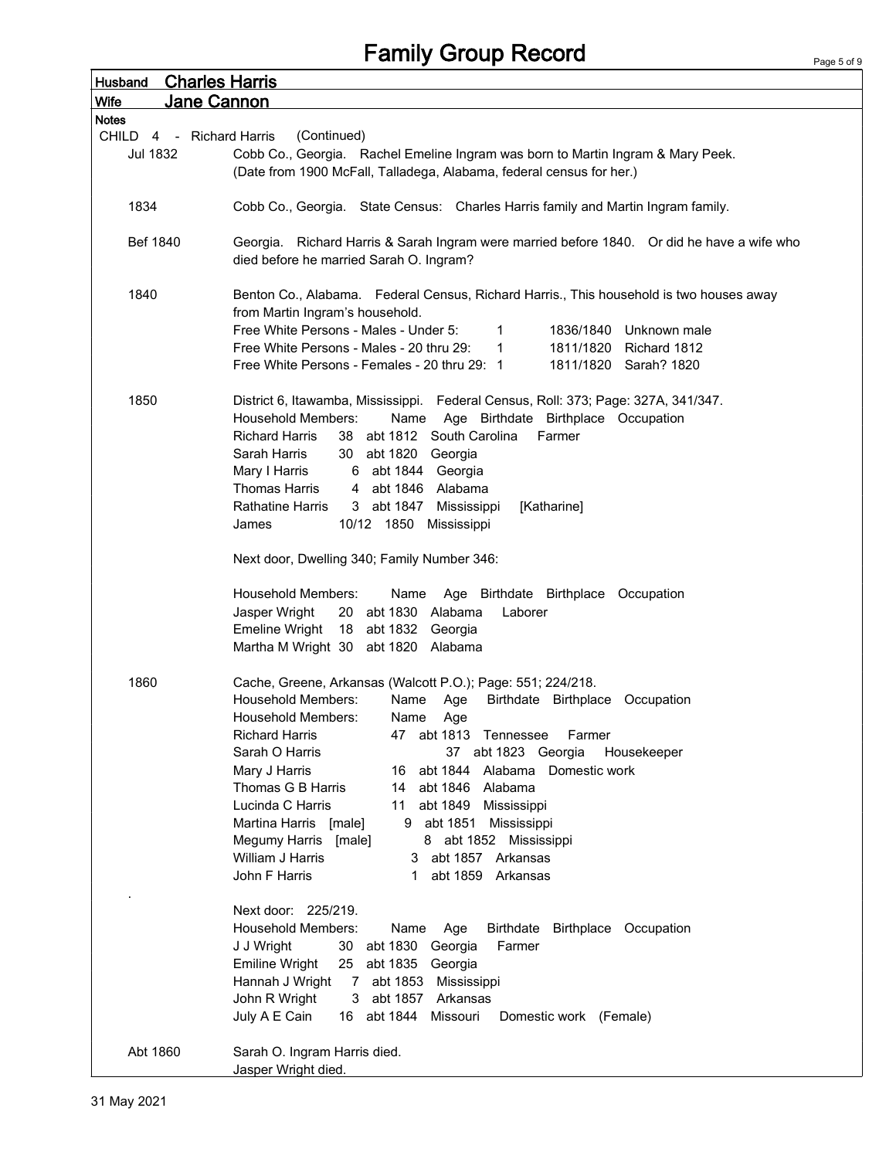## Family Group Record

| <b>Charles Harris</b><br><b>Husband</b> |                                                                                                                                                                             |
|-----------------------------------------|-----------------------------------------------------------------------------------------------------------------------------------------------------------------------------|
| Jane Cannon<br><b>Wife</b>              |                                                                                                                                                                             |
| <b>Notes</b>                            |                                                                                                                                                                             |
| CHILD<br>4 - Richard Harris             | (Continued)                                                                                                                                                                 |
| <b>Jul 1832</b>                         | Cobb Co., Georgia. Rachel Emeline Ingram was born to Martin Ingram & Mary Peek.                                                                                             |
|                                         | (Date from 1900 McFall, Talladega, Alabama, federal census for her.)                                                                                                        |
|                                         |                                                                                                                                                                             |
| 1834                                    | Cobb Co., Georgia. State Census: Charles Harris family and Martin Ingram family.                                                                                            |
|                                         |                                                                                                                                                                             |
| Bef 1840                                | Georgia. Richard Harris & Sarah Ingram were married before 1840. Or did he have a wife who                                                                                  |
|                                         | died before he married Sarah O. Ingram?                                                                                                                                     |
|                                         |                                                                                                                                                                             |
| 1840                                    | Benton Co., Alabama. Federal Census, Richard Harris., This household is two houses away                                                                                     |
|                                         | from Martin Ingram's household.                                                                                                                                             |
|                                         | Free White Persons - Males - Under 5:<br>$\mathbf{1}$<br>1836/1840<br>Unknown male<br>Free White Persons - Males - 20 thru 29:<br>1811/1820<br>Richard 1812<br>$\mathbf{1}$ |
|                                         | Free White Persons - Females - 20 thru 29: 1<br>1811/1820 Sarah? 1820                                                                                                       |
|                                         |                                                                                                                                                                             |
| 1850                                    | District 6, Itawamba, Mississippi. Federal Census, Roll: 373; Page: 327A, 341/347.                                                                                          |
|                                         | Age Birthdate Birthplace Occupation<br><b>Household Members:</b><br>Name                                                                                                    |
|                                         | <b>Richard Harris</b><br>38 abt 1812 South Carolina<br>Farmer                                                                                                               |
|                                         | Sarah Harris<br>30 abt 1820 Georgia                                                                                                                                         |
|                                         | Mary I Harris<br>6 abt 1844 Georgia                                                                                                                                         |
|                                         | <b>Thomas Harris</b><br>abt 1846 Alabama<br>4                                                                                                                               |
|                                         | 3 abt 1847<br><b>Rathatine Harris</b><br>Mississippi<br>[Katharine]                                                                                                         |
|                                         | 10/12 1850 Mississippi<br>James                                                                                                                                             |
|                                         |                                                                                                                                                                             |
|                                         | Next door, Dwelling 340; Family Number 346:                                                                                                                                 |
|                                         |                                                                                                                                                                             |
|                                         | <b>Household Members:</b><br>Age Birthdate Birthplace Occupation<br>Name                                                                                                    |
|                                         | Jasper Wright<br>20 abt 1830 Alabama<br>Laborer                                                                                                                             |
|                                         | <b>Emeline Wright</b><br>18 abt 1832 Georgia                                                                                                                                |
|                                         | Martha M Wright 30 abt 1820 Alabama                                                                                                                                         |
|                                         |                                                                                                                                                                             |
| 1860                                    | Cache, Greene, Arkansas (Walcott P.O.); Page: 551; 224/218.                                                                                                                 |
|                                         | <b>Household Members:</b><br>Name<br>Birthdate Birthplace Occupation<br>Age<br>Household Members:<br>Name                                                                   |
|                                         | Age<br><b>Richard Harris</b><br>47 abt 1813 Tennessee<br>Farmer                                                                                                             |
|                                         | Sarah O Harris<br>37 abt 1823 Georgia<br>Housekeeper                                                                                                                        |
|                                         | abt 1844 Alabama Domestic work<br>Mary J Harris<br>16                                                                                                                       |
|                                         | Thomas G B Harris<br>14 abt 1846 Alabama                                                                                                                                    |
|                                         | Lucinda C Harris<br>11 abt 1849 Mississippi                                                                                                                                 |
|                                         | Martina Harris [male]<br>9 abt 1851 Mississippi                                                                                                                             |
|                                         | Megumy Harris [male]<br>8 abt 1852 Mississippi                                                                                                                              |
|                                         | William J Harris<br>3 abt 1857 Arkansas                                                                                                                                     |
|                                         | John F Harris<br>abt 1859 Arkansas<br>1                                                                                                                                     |
|                                         |                                                                                                                                                                             |
|                                         | Next door: 225/219.                                                                                                                                                         |
|                                         | <b>Household Members:</b><br>Birthdate Birthplace Occupation<br>Name<br>Age                                                                                                 |
|                                         | J J Wright<br>30 abt 1830 Georgia<br>Farmer                                                                                                                                 |
|                                         | <b>Emiline Wright</b><br>25 abt 1835 Georgia                                                                                                                                |
|                                         | Hannah J Wright<br>7 abt 1853 Mississippi                                                                                                                                   |
|                                         | John R Wright<br>3 abt 1857 Arkansas                                                                                                                                        |
|                                         | July A E Cain<br>16 abt 1844<br>Missouri<br>Domestic work (Female)                                                                                                          |
|                                         |                                                                                                                                                                             |
| Abt 1860                                | Sarah O. Ingram Harris died.                                                                                                                                                |
|                                         | Jasper Wright died.                                                                                                                                                         |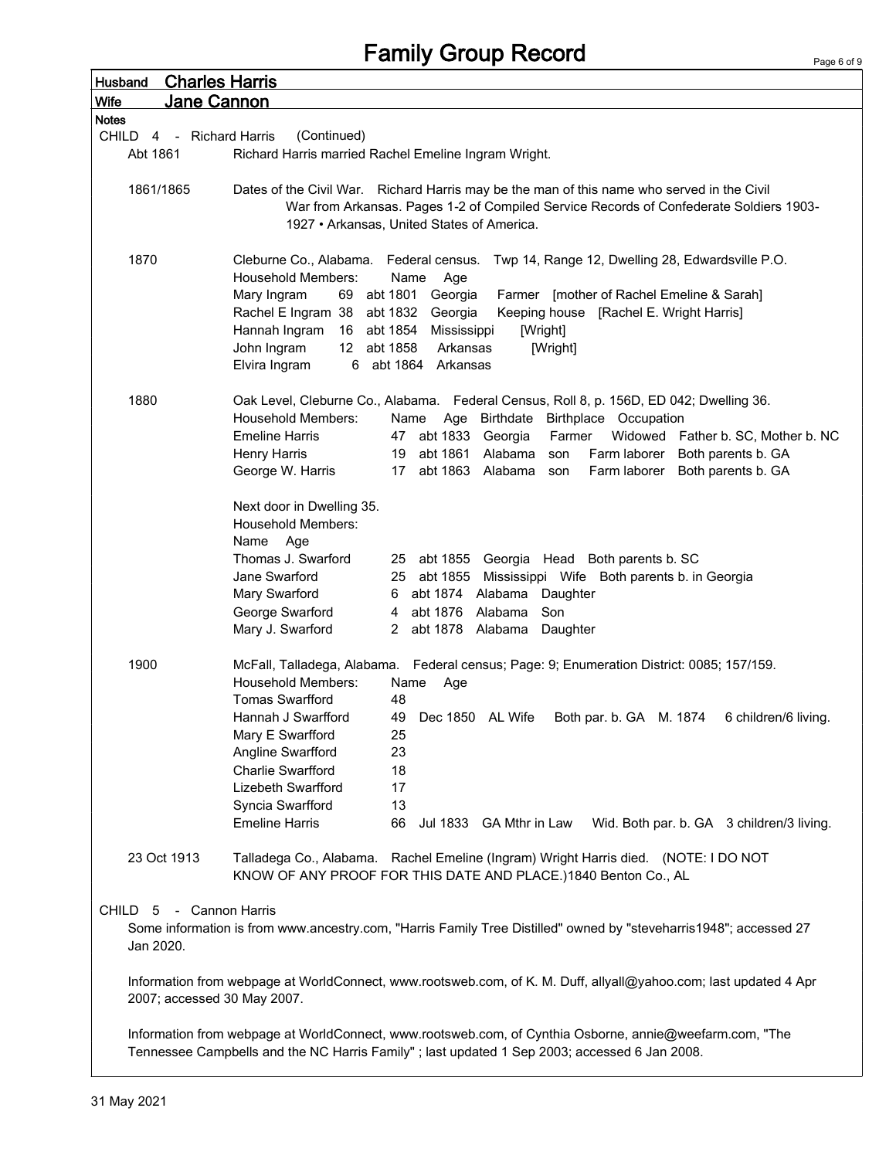## Family Group Record

| <b>Husband</b>              | <b>Charles Harris</b>                                                                                                                |  |
|-----------------------------|--------------------------------------------------------------------------------------------------------------------------------------|--|
| Jane Cannon<br><b>Wife</b>  |                                                                                                                                      |  |
| <b>Notes</b>                |                                                                                                                                      |  |
| CHILD<br>4 - Richard Harris | (Continued)                                                                                                                          |  |
| Abt 1861                    | Richard Harris married Rachel Emeline Ingram Wright.                                                                                 |  |
|                             |                                                                                                                                      |  |
| 1861/1865                   | Dates of the Civil War. Richard Harris may be the man of this name who served in the Civil                                           |  |
|                             | War from Arkansas. Pages 1-2 of Compiled Service Records of Confederate Soldiers 1903-<br>1927 • Arkansas, United States of America. |  |
|                             |                                                                                                                                      |  |
| 1870                        | Cleburne Co., Alabama. Federal census. Twp 14, Range 12, Dwelling 28, Edwardsville P.O.                                              |  |
|                             | Household Members:<br>Name<br>Age                                                                                                    |  |
|                             | Farmer [mother of Rachel Emeline & Sarah]<br>Mary Ingram<br>69 abt 1801 Georgia                                                      |  |
|                             | Rachel E Ingram 38 abt 1832 Georgia<br>Keeping house [Rachel E. Wright Harris]                                                       |  |
|                             | Hannah Ingram<br>16 abt 1854 Mississippi<br>[Wright]                                                                                 |  |
|                             | John Ingram<br>12 abt 1858<br>Arkansas<br>[Wright]                                                                                   |  |
|                             | 6 abt 1864 Arkansas<br>Elvira Ingram                                                                                                 |  |
|                             |                                                                                                                                      |  |
| 1880                        | Oak Level, Cleburne Co., Alabama. Federal Census, Roll 8, p. 156D, ED 042; Dwelling 36.                                              |  |
|                             | <b>Household Members:</b><br>Name Age Birthdate Birthplace Occupation                                                                |  |
|                             | <b>Emeline Harris</b><br>47 abt 1833 Georgia<br>Widowed Father b. SC, Mother b. NC<br>Farmer                                         |  |
|                             | Henry Harris<br>abt 1861<br>Alabama<br>Farm laborer Both parents b. GA<br>19<br>son                                                  |  |
|                             | Farm laborer Both parents b. GA<br>George W. Harris<br>17<br>abt 1863 Alabama<br>son                                                 |  |
|                             | Next door in Dwelling 35.                                                                                                            |  |
|                             | <b>Household Members:</b>                                                                                                            |  |
|                             | Name Age                                                                                                                             |  |
|                             | Thomas J. Swarford<br>25 abt 1855 Georgia Head Both parents b. SC                                                                    |  |
|                             | Jane Swarford<br>25 abt 1855 Mississippi Wife Both parents b. in Georgia                                                             |  |
|                             | abt 1874 Alabama Daughter<br>Mary Swarford<br>6                                                                                      |  |
|                             | George Swarford<br>abt 1876 Alabama<br>Son<br>4                                                                                      |  |
|                             | Mary J. Swarford<br>2 abt 1878 Alabama<br>Daughter                                                                                   |  |
| 1900                        |                                                                                                                                      |  |
|                             | McFall, Talladega, Alabama. Federal census; Page: 9; Enumeration District: 0085; 157/159.<br>Household Members:<br>Name<br>Age       |  |
|                             | <b>Tomas Swarfford</b><br>48                                                                                                         |  |
|                             | Hannah J Swarfford<br>49<br>Dec 1850 AL Wife<br>Both par. b. GA M. 1874<br>6 children/6 living.                                      |  |
|                             | Mary E Swarfford<br>25                                                                                                               |  |
|                             | Angline Swarfford<br>23                                                                                                              |  |
|                             | Charlie Swarfford<br>18                                                                                                              |  |
|                             | Lizebeth Swarfford<br>17                                                                                                             |  |
|                             | Syncia Swarfford<br>13                                                                                                               |  |
|                             | <b>Emeline Harris</b><br>66<br>Jul 1833 GA Mthr in Law<br>Wid. Both par. b. GA 3 children/3 living.                                  |  |
|                             |                                                                                                                                      |  |
| 23 Oct 1913                 | Talladega Co., Alabama. Rachel Emeline (Ingram) Wright Harris died. (NOTE: I DO NOT                                                  |  |
|                             | KNOW OF ANY PROOF FOR THIS DATE AND PLACE.)1840 Benton Co., AL                                                                       |  |
| CHILD<br>-5                 | - Cannon Harris                                                                                                                      |  |
|                             | Some information is from www.ancestry.com, "Harris Family Tree Distilled" owned by "steveharris1948"; accessed 27                    |  |
| Jan 2020.                   |                                                                                                                                      |  |
|                             |                                                                                                                                      |  |
|                             | Information from webpage at WorldConnect, www.rootsweb.com, of K. M. Duff, allyall@yahoo.com; last updated 4 Apr                     |  |
| 2007; accessed 30 May 2007. |                                                                                                                                      |  |
|                             |                                                                                                                                      |  |
|                             | Information from webpage at WorldConnect, www.rootsweb.com, of Cynthia Osborne, annie@weefarm.com, "The                              |  |
|                             | Tennessee Campbells and the NC Harris Family"; last updated 1 Sep 2003; accessed 6 Jan 2008.                                         |  |
|                             |                                                                                                                                      |  |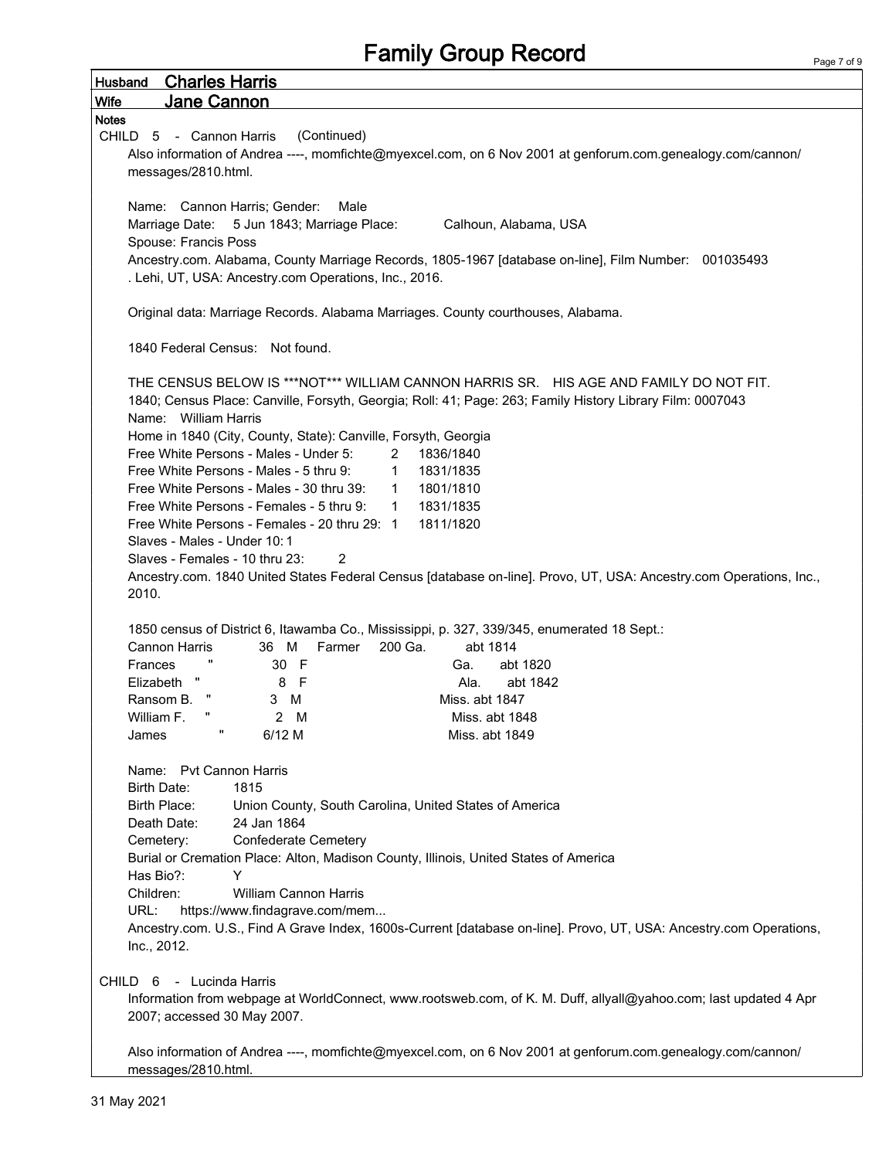| <b>Husband Charles Harris</b>                                                                                      |
|--------------------------------------------------------------------------------------------------------------------|
| Jane Cannon<br><b>Wife</b>                                                                                         |
| <b>Notes</b>                                                                                                       |
| (Continued)<br>CHILD 5 - Cannon Harris                                                                             |
| Also information of Andrea ----, momfichte@myexcel.com, on 6 Nov 2001 at genforum.com.genealogy.com/cannon/        |
| messages/2810.html.                                                                                                |
|                                                                                                                    |
| Name: Cannon Harris; Gender:<br>Male                                                                               |
| Marriage Date: 5 Jun 1843; Marriage Place:<br>Calhoun, Alabama, USA                                                |
| Spouse: Francis Poss                                                                                               |
| Ancestry.com. Alabama, County Marriage Records, 1805-1967 [database on-line], Film Number: 001035493               |
| . Lehi, UT, USA: Ancestry.com Operations, Inc., 2016.                                                              |
| Original data: Marriage Records. Alabama Marriages. County courthouses, Alabama.                                   |
|                                                                                                                    |
| 1840 Federal Census: Not found.                                                                                    |
|                                                                                                                    |
| THE CENSUS BELOW IS ***NOT*** WILLIAM CANNON HARRIS SR. HIS AGE AND FAMILY DO NOT FIT.                             |
| 1840; Census Place: Canville, Forsyth, Georgia; Roll: 41; Page: 263; Family History Library Film: 0007043          |
| Name: William Harris                                                                                               |
| Home in 1840 (City, County, State): Canville, Forsyth, Georgia                                                     |
| Free White Persons - Males - Under 5:<br>1836/1840<br>2                                                            |
| Free White Persons - Males - 5 thru 9:<br>1831/1835<br>$\mathbf{1}$                                                |
| Free White Persons - Males - 30 thru 39:<br>1801/1810<br>$\mathbf{1}$                                              |
| Free White Persons - Females - 5 thru 9:<br>1831/1835<br>1                                                         |
| 1811/1820<br>Free White Persons - Females - 20 thru 29: 1                                                          |
| Slaves - Males - Under 10:1                                                                                        |
| Slaves - Females - 10 thru 23:<br>2                                                                                |
| Ancestry.com. 1840 United States Federal Census [database on-line]. Provo, UT, USA: Ancestry.com Operations, Inc., |
| 2010.                                                                                                              |
| 1850 census of District 6, Itawamba Co., Mississippi, p. 327, 339/345, enumerated 18 Sept.:                        |
| <b>Cannon Harris</b><br>Farmer<br>200 Ga.<br>abt 1814<br>36 M                                                      |
| 30 F<br>Frances<br>abt 1820<br>Ga.                                                                                 |
| Elizabeth<br>Ч.<br>8 F<br>abt 1842<br>Ala.                                                                         |
| Ransom B.<br>Miss. abt 1847<br>3 M                                                                                 |
| William F.<br>2 M<br>Miss. abt 1848                                                                                |
| $6/12$ M<br>Miss. abt 1849<br>James                                                                                |
|                                                                                                                    |
| Name: Pvt Cannon Harris                                                                                            |
| Birth Date:<br>1815                                                                                                |
| Birth Place:<br>Union County, South Carolina, United States of America                                             |
| 24 Jan 1864<br>Death Date:                                                                                         |
| <b>Confederate Cemetery</b><br>Cemetery:                                                                           |
| Burial or Cremation Place: Alton, Madison County, Illinois, United States of America                               |
| Has Bio?:<br>Y                                                                                                     |
| Children:<br>William Cannon Harris                                                                                 |
| URL:<br>https://www.findagrave.com/mem                                                                             |
| Ancestry.com. U.S., Find A Grave Index, 1600s-Current [database on-line]. Provo, UT, USA: Ancestry.com Operations, |
| Inc., 2012.                                                                                                        |
|                                                                                                                    |
| CHILD 6 - Lucinda Harris                                                                                           |
| Information from webpage at WorldConnect, www.rootsweb.com, of K. M. Duff, allyall@yahoo.com; last updated 4 Apr   |
| 2007; accessed 30 May 2007.                                                                                        |
| Also information of Andrea ----, momfichte@myexcel.com, on 6 Nov 2001 at genforum.com.genealogy.com/cannon/        |
| messages/2810.html.                                                                                                |

f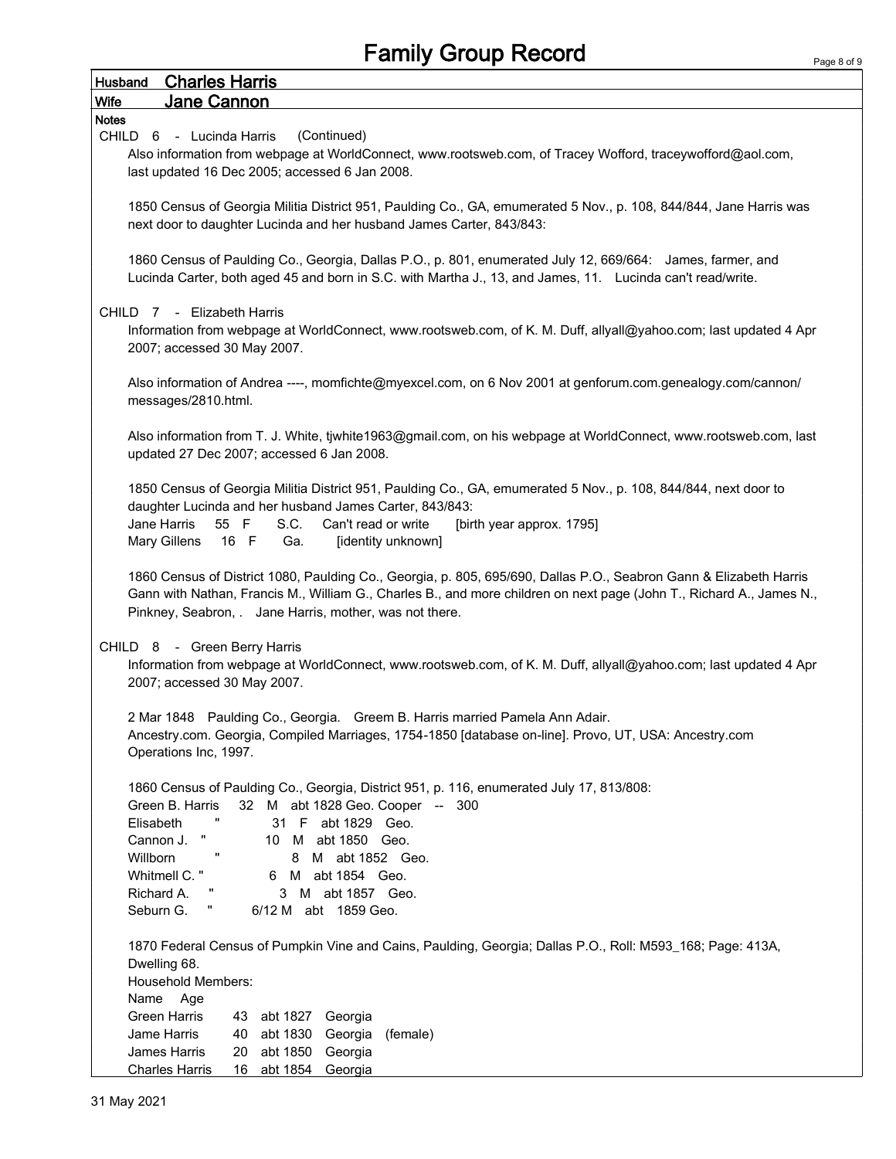| <b>Charles Harris</b><br><b>Husband</b>                                                                                                                                                                                                                                                                                                                                                    |
|--------------------------------------------------------------------------------------------------------------------------------------------------------------------------------------------------------------------------------------------------------------------------------------------------------------------------------------------------------------------------------------------|
| Jane Cannon<br>Wife                                                                                                                                                                                                                                                                                                                                                                        |
| <b>Notes</b>                                                                                                                                                                                                                                                                                                                                                                               |
| (Continued)<br>CHILD 6 - Lucinda Harris                                                                                                                                                                                                                                                                                                                                                    |
| Also information from webpage at WorldConnect, www.rootsweb.com, of Tracey Wofford, traceywofford@aol.com,                                                                                                                                                                                                                                                                                 |
| last updated 16 Dec 2005; accessed 6 Jan 2008.                                                                                                                                                                                                                                                                                                                                             |
|                                                                                                                                                                                                                                                                                                                                                                                            |
| 1850 Census of Georgia Militia District 951, Paulding Co., GA, emumerated 5 Nov., p. 108, 844/844, Jane Harris was<br>next door to daughter Lucinda and her husband James Carter, 843/843:                                                                                                                                                                                                 |
| 1860 Census of Paulding Co., Georgia, Dallas P.O., p. 801, enumerated July 12, 669/664: James, farmer, and<br>Lucinda Carter, both aged 45 and born in S.C. with Martha J., 13, and James, 11. Lucinda can't read/write.                                                                                                                                                                   |
| CHILD 7 - Elizabeth Harris<br>Information from webpage at WorldConnect, www.rootsweb.com, of K. M. Duff, allyall@yahoo.com; last updated 4 Apr<br>2007; accessed 30 May 2007.                                                                                                                                                                                                              |
| Also information of Andrea ----, momfichte@myexcel.com, on 6 Nov 2001 at genforum.com.genealogy.com/cannon/<br>messages/2810.html.                                                                                                                                                                                                                                                         |
| Also information from T. J. White, tjwhite1963@gmail.com, on his webpage at WorldConnect, www.rootsweb.com, last<br>updated 27 Dec 2007; accessed 6 Jan 2008.                                                                                                                                                                                                                              |
| 1850 Census of Georgia Militia District 951, Paulding Co., GA, emumerated 5 Nov., p. 108, 844/844, next door to<br>daughter Lucinda and her husband James Carter, 843/843:<br>Jane Harris<br>55 F<br>S.C.<br>Can't read or write<br>[birth year approx. 1795]<br>Mary Gillens<br>16 F<br>Ga.<br>[identity unknown]                                                                         |
| 1860 Census of District 1080, Paulding Co., Georgia, p. 805, 695/690, Dallas P.O., Seabron Gann & Elizabeth Harris<br>Gann with Nathan, Francis M., William G., Charles B., and more children on next page (John T., Richard A., James N.,<br>Pinkney, Seabron, . Jane Harris, mother, was not there.                                                                                      |
| CHILD 8 - Green Berry Harris<br>Information from webpage at WorldConnect, www.rootsweb.com, of K. M. Duff, allyall@yahoo.com; last updated 4 Apr<br>2007; accessed 30 May 2007.                                                                                                                                                                                                            |
| 2 Mar 1848 Paulding Co., Georgia. Greem B. Harris married Pamela Ann Adair.<br>Ancestry.com. Georgia, Compiled Marriages, 1754-1850 [database on-line]. Provo, UT, USA: Ancestry.com<br>Operations Inc, 1997.                                                                                                                                                                              |
| 1860 Census of Paulding Co., Georgia, District 951, p. 116, enumerated July 17, 813/808:<br>32 M abt 1828 Geo. Cooper -- 300<br>Green B. Harris<br>Elisabeth<br>31 F abt 1829 Geo.<br>Ħ<br>Cannon J.<br>10 M abt 1850 Geo.<br>п<br>Willborn<br>8<br>M abt 1852 Geo.<br>Whitmell C. "<br>6 M abt 1854 Geo.<br>Richard A.<br>M abt 1857 Geo.<br>3<br>π,<br>Seburn G.<br>6/12 M abt 1859 Geo. |
| 1870 Federal Census of Pumpkin Vine and Cains, Paulding, Georgia; Dallas P.O., Roll: M593_168; Page: 413A,<br>Dwelling 68.<br><b>Household Members:</b><br>Name<br>Age<br><b>Green Harris</b><br>43 abt 1827 Georgia<br>Jame Harris<br>abt 1830 Georgia<br>(female)<br>40                                                                                                                  |
| abt 1850<br>James Harris<br>20<br>Georgia<br><b>Charles Harris</b><br>16<br>abt 1854 Georgia                                                                                                                                                                                                                                                                                               |
|                                                                                                                                                                                                                                                                                                                                                                                            |